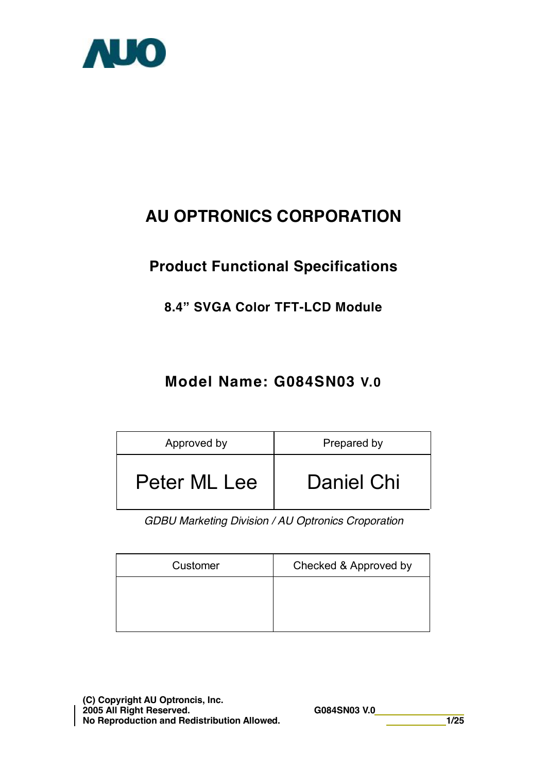

# **AU OPTRONICS CORPORATION**

## **Product Functional Specifications**

### **8.4" SVGA Color TFT-LCD Module**

## **Model Name: G084SN03 V.0**

| Approved by  | Prepared by |
|--------------|-------------|
| Peter ML Lee | Daniel Chi  |

*GDBU Marketing Division / AU Optronics Croporation* 

| Checked & Approved by |
|-----------------------|
|                       |
|                       |
|                       |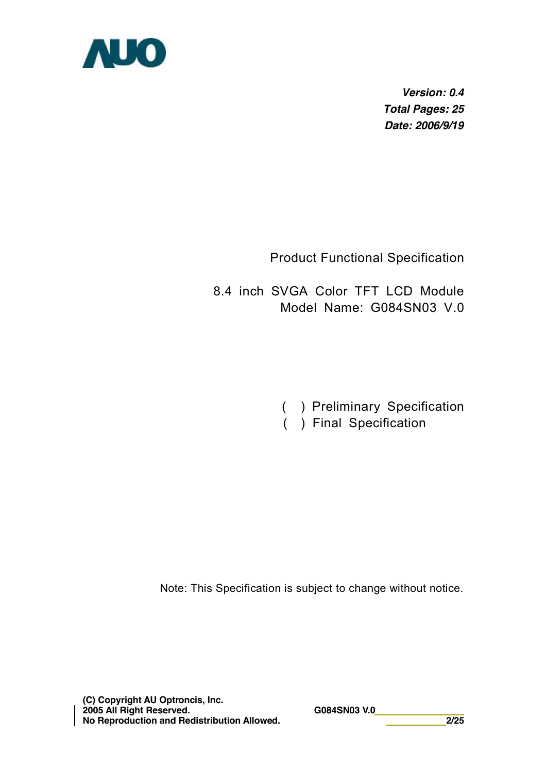

*Version: 0.4 Total Pages: 25 Date: 2006/9/19* 

Product Functional Specification

8.4 inch SVGA Color TFT LCD Module Model Name: G084SN03 V.0

- ( ) Preliminary Specification
- ( ) Final Specification

Note: This Specification is subject to change without notice.

**(C) Copyright AU Optroncis, Inc. 2005 All Right Reserved. G084SN03 V.0 No Reproduction and Redistribution Allowed. 2/25**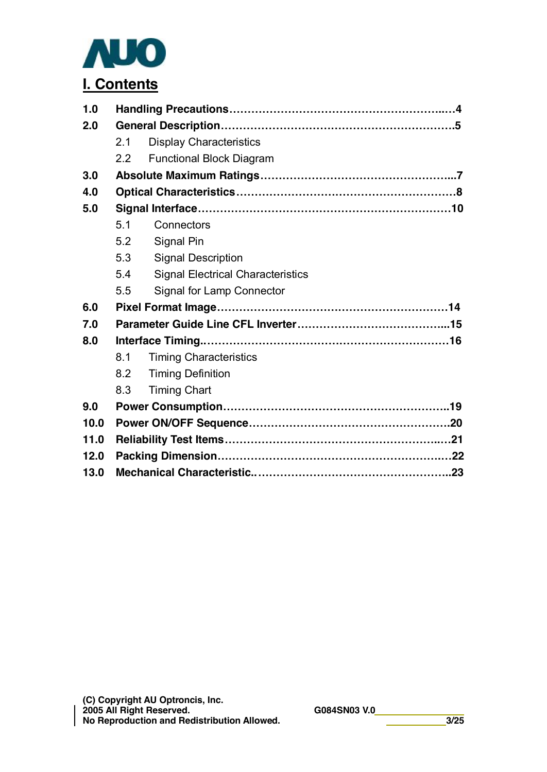

| 1.0  |     |                                          |  |  |  |
|------|-----|------------------------------------------|--|--|--|
| 2.0  |     |                                          |  |  |  |
|      | 2.1 | <b>Display Characteristics</b>           |  |  |  |
|      | 2.2 | <b>Functional Block Diagram</b>          |  |  |  |
| 3.0  |     |                                          |  |  |  |
| 4.0  |     |                                          |  |  |  |
| 5.0  |     |                                          |  |  |  |
|      | 5.1 | Connectors                               |  |  |  |
|      | 5.2 | Signal Pin                               |  |  |  |
|      | 5.3 | <b>Signal Description</b>                |  |  |  |
|      | 5.4 | <b>Signal Electrical Characteristics</b> |  |  |  |
|      | 5.5 | <b>Signal for Lamp Connector</b>         |  |  |  |
| 6.0  |     |                                          |  |  |  |
| 7.0  |     |                                          |  |  |  |
| 8.0  |     |                                          |  |  |  |
|      | 8.1 | <b>Timing Characteristics</b>            |  |  |  |
|      | 8.2 | <b>Timing Definition</b>                 |  |  |  |
|      | 8.3 | <b>Timing Chart</b>                      |  |  |  |
| 9.0  |     |                                          |  |  |  |
| 10.0 |     |                                          |  |  |  |
| 11.0 |     |                                          |  |  |  |
| 12.0 |     |                                          |  |  |  |
| 13.0 |     |                                          |  |  |  |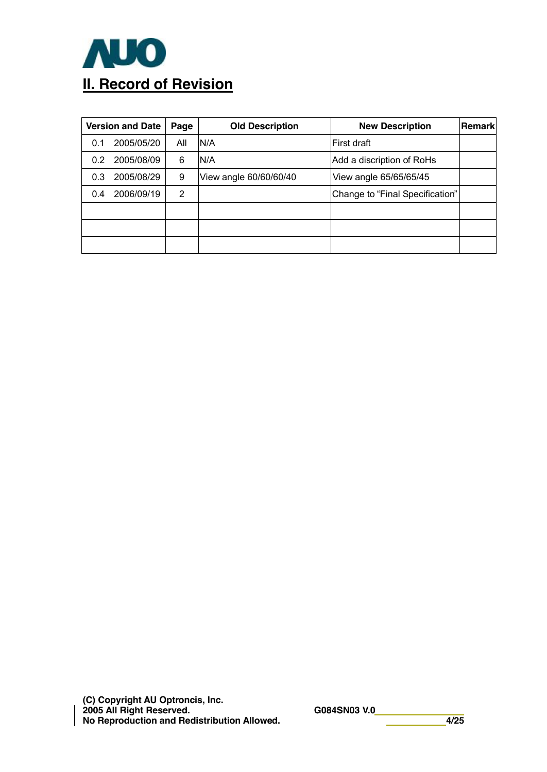

| <b>Version and Date</b><br>Page |            |     | <b>Old Description</b> | <b>New Description</b>          | Remark |
|---------------------------------|------------|-----|------------------------|---------------------------------|--------|
| 0.1                             | 2005/05/20 | All | N/A                    | lFirst draft                    |        |
| 0.2                             | 2005/08/09 | 6   | IN/A                   | Add a discription of RoHs       |        |
| 0.3                             | 2005/08/29 | 9   | View angle 60/60/60/40 | View angle 65/65/65/45          |        |
| 0.4                             | 2006/09/19 | 2   |                        | Change to "Final Specification" |        |
|                                 |            |     |                        |                                 |        |
|                                 |            |     |                        |                                 |        |
|                                 |            |     |                        |                                 |        |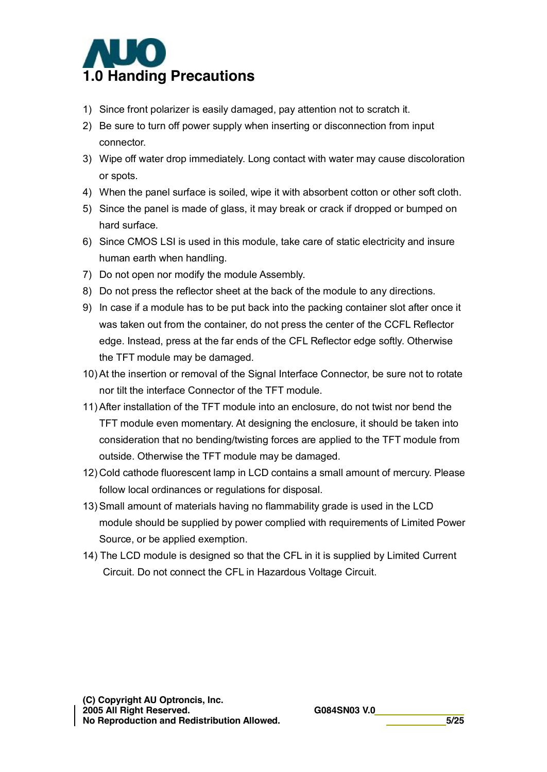

- 1) Since front polarizer is easily damaged, pay attention not to scratch it.
- 2) Be sure to turn off power supply when inserting or disconnection from input connector.
- 3) Wipe off water drop immediately. Long contact with water may cause discoloration or spots.
- 4) When the panel surface is soiled, wipe it with absorbent cotton or other soft cloth.
- 5) Since the panel is made of glass, it may break or crack if dropped or bumped on hard surface.
- 6) Since CMOS LSI is used in this module, take care of static electricity and insure human earth when handling.
- 7) Do not open nor modify the module Assembly.
- 8) Do not press the reflector sheet at the back of the module to any directions.
- 9) In case if a module has to be put back into the packing container slot after once it was taken out from the container, do not press the center of the CCFL Reflector edge. Instead, press at the far ends of the CFL Reflector edge softly. Otherwise the TFT module may be damaged.
- 10) At the insertion or removal of the Signal Interface Connector, be sure not to rotate nor tilt the interface Connector of the TFT module.
- 11) After installation of the TFT module into an enclosure, do not twist nor bend the TFT module even momentary. At designing the enclosure, it should be taken into consideration that no bending/twisting forces are applied to the TFT module from outside. Otherwise the TFT module may be damaged.
- 12) Cold cathode fluorescent lamp in LCD contains a small amount of mercury. Please follow local ordinances or regulations for disposal.
- 13) Small amount of materials having no flammability grade is used in the LCD module should be supplied by power complied with requirements of Limited Power Source, or be applied exemption.
- 14) The LCD module is designed so that the CFL in it is supplied by Limited Current Circuit. Do not connect the CFL in Hazardous Voltage Circuit.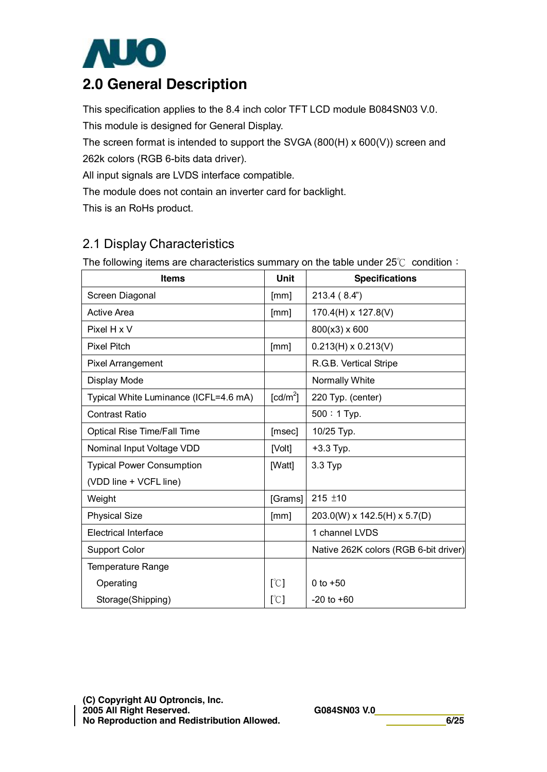

## **2.0 General Description**

This specification applies to the 8.4 inch color TFT LCD module B084SN03 V.0.

This module is designed for General Display.

The screen format is intended to support the SVGA (800(H) x 600(V)) screen and

262k colors (RGB 6-bits data driver).

All input signals are LVDS interface compatible.

The module does not contain an inverter card for backlight.

This is an RoHs product.

### 2.1 Display Characteristics

The following items are characteristics summary on the table under 25℃ condition:

| <b>Items</b>                          | <b>Unit</b>          | <b>Specifications</b>                 |
|---------------------------------------|----------------------|---------------------------------------|
| Screen Diagonal                       | [mm]                 | 213.4 (8.4")                          |
| Active Area                           | [mm]                 | $170.4(H) \times 127.8(V)$            |
| Pixel H x V                           |                      | 800(x3) x 600                         |
| <b>Pixel Pitch</b>                    | [mm]                 | $0.213(H) \times 0.213(V)$            |
| <b>Pixel Arrangement</b>              |                      | R.G.B. Vertical Stripe                |
| Display Mode                          |                      | Normally White                        |
| Typical White Luminance (ICFL=4.6 mA) | [cd/m <sup>2</sup> ] | 220 Typ. (center)                     |
| <b>Contrast Ratio</b>                 |                      | $500:1$ Typ.                          |
| <b>Optical Rise Time/Fall Time</b>    | [msec]               | 10/25 Typ.                            |
| Nominal Input Voltage VDD             | [Volt]               | $+3.3$ Typ.                           |
| <b>Typical Power Consumption</b>      | [Watt]               | 3.3 Typ                               |
| (VDD line + VCFL line)                |                      |                                       |
| Weight                                | [Grams]              | $215 + 10$                            |
| <b>Physical Size</b>                  | [mm]                 | 203.0(W) x 142.5(H) x 5.7(D)          |
| <b>Electrical Interface</b>           |                      | 1 channel LVDS                        |
| <b>Support Color</b>                  |                      | Native 262K colors (RGB 6-bit driver) |
| <b>Temperature Range</b>              |                      |                                       |
| Operating                             | [°C]                 | 0 to $+50$                            |
| Storage(Shipping)                     | [°C]                 | $-20$ to $+60$                        |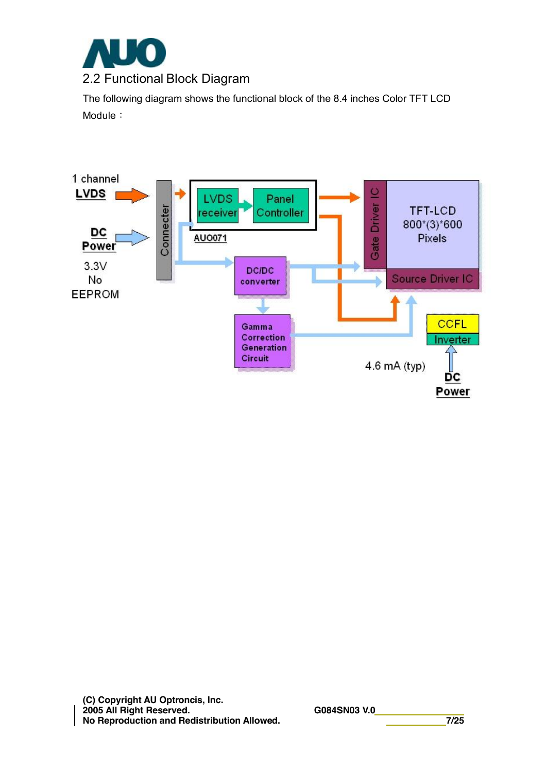

The following diagram shows the functional block of the 8.4 inches Color TFT LCD Module:

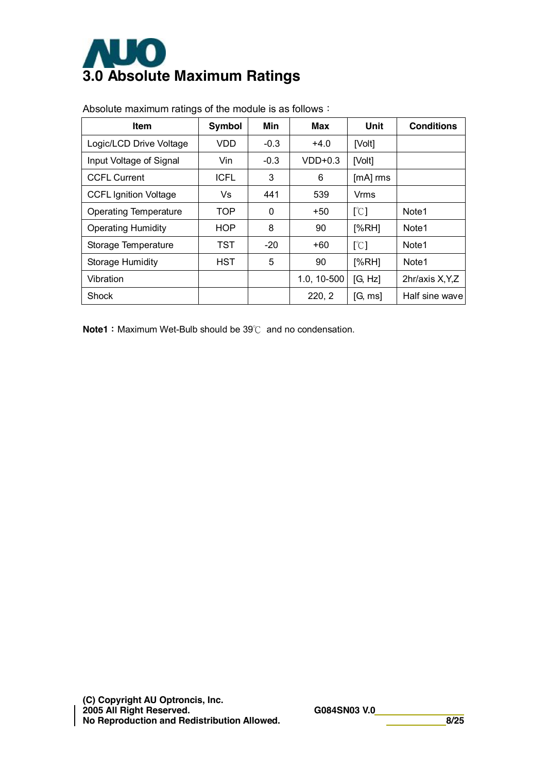

| <b>Item</b>                  | Symbol      | Min    | Max         | Unit     | <b>Conditions</b> |
|------------------------------|-------------|--------|-------------|----------|-------------------|
| Logic/LCD Drive Voltage      | <b>VDD</b>  | $-0.3$ | $+4.0$      | [Volt]   |                   |
| Input Voltage of Signal      | Vin         | $-0.3$ | $VDD+0.3$   | [Volt]   |                   |
| <b>CCFL Current</b>          | <b>ICFL</b> | 3      | 6           | [mA] rms |                   |
| <b>CCFL Ignition Voltage</b> | Vs          | 441    | 539         | Vrms     |                   |
| <b>Operating Temperature</b> | <b>TOP</b>  | 0      | +50         | [°C]     | Note1             |
| <b>Operating Humidity</b>    | <b>HOP</b>  | 8      | 90          | [%RH]    | Note1             |
| Storage Temperature          | TST         | $-20$  | +60         | [°C]     | Note <sub>1</sub> |
| Storage Humidity             | <b>HST</b>  | 5      | 90          | [%RH]    | Note <sub>1</sub> |
| Vibration                    |             |        | 1.0, 10-500 | [G, Hz]  | 2hr/axis X, Y, Z  |
| Shock                        |             |        | 220, 2      | [G, ms]  | Half sine wave    |

Absolute maximum ratings of the module is as follows:

**Note1**: Maximum Wet-Bulb should be 39℃ and no condensation.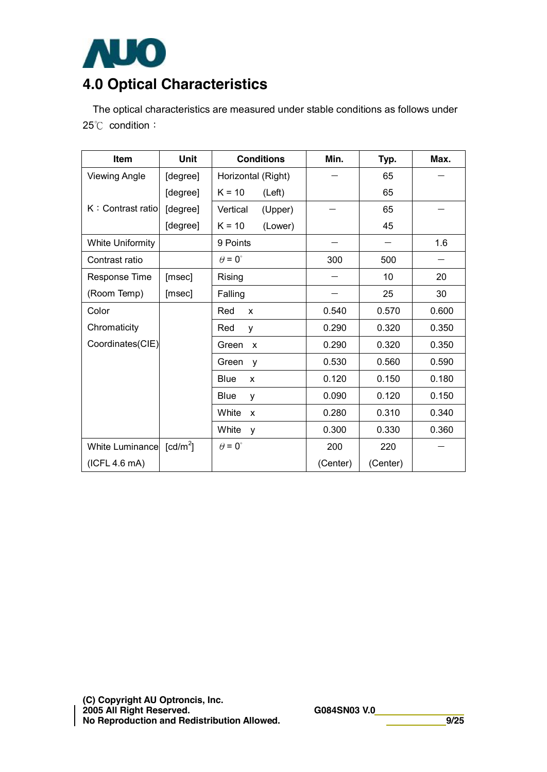

## **4.0 Optical Characteristics**

The optical characteristics are measured under stable conditions as follows under 25℃ condition:

| <b>Item</b>             | <b>Unit</b>            | <b>Conditions</b>    | Min.     | Typ.     | Max.  |
|-------------------------|------------------------|----------------------|----------|----------|-------|
| <b>Viewing Angle</b>    | [degree]               | Horizontal (Right)   |          | 65       |       |
|                         | [degree]               | $K = 10$<br>(Left)   |          | 65       |       |
| K: Contrast ratio       | [degree]               | Vertical<br>(Upper)  |          | 65       |       |
|                         | [degree]               | $K = 10$<br>(Lower)  |          | 45       |       |
| <b>White Uniformity</b> |                        | 9 Points             |          |          | 1.6   |
| Contrast ratio          |                        | $\theta = 0^{\circ}$ | 300      | 500      |       |
| Response Time           | [msec]                 | Rising               |          | 10       | 20    |
| (Room Temp)             | [msec]                 | Falling              |          | 25       | 30    |
| Color                   |                        | Red<br>X             | 0.540    | 0.570    | 0.600 |
| Chromaticity            |                        | Red<br>y             | 0.290    | 0.320    | 0.350 |
| Coordinates(CIE)        |                        | Green<br>X           | 0.290    | 0.320    | 0.350 |
|                         |                        | Green<br>y           | 0.530    | 0.560    | 0.590 |
|                         |                        | Blue<br>X            | 0.120    | 0.150    | 0.180 |
|                         |                        | <b>Blue</b><br>v     | 0.090    | 0.120    | 0.150 |
|                         |                        | White<br>X           | 0.280    | 0.310    | 0.340 |
|                         |                        | White<br>y           | 0.300    | 0.330    | 0.360 |
| White Luminance         | $\lceil cd/m^2 \rceil$ | $\theta = 0^{\circ}$ | 200      | 220      |       |
| (ICFL 4.6 mA)           |                        |                      | (Center) | (Center) |       |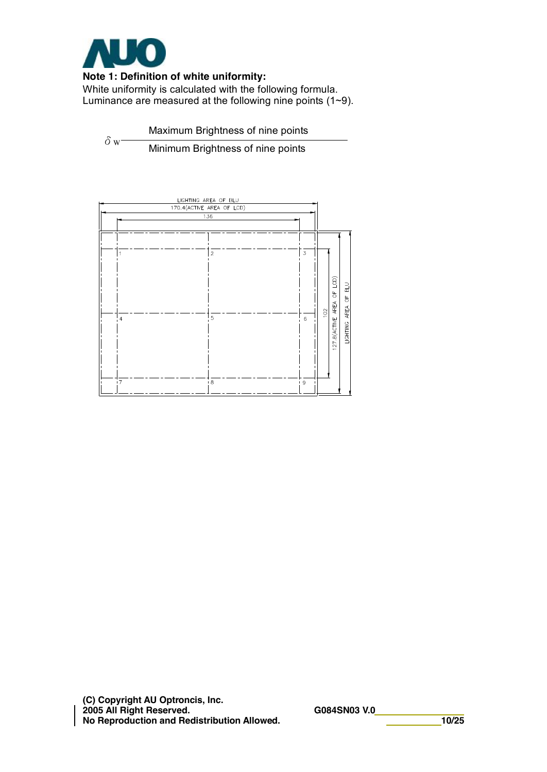

#### **Note 1: Definition of white uniformity:**

White uniformity is calculated with the following formula. Luminance are measured at the following nine points (1~9).

 $δ$ <sub>W</sub> Maximum Brightness of nine points Minimum Brightness of nine points



**(C) Copyright AU Optroncis, Inc. 2005 All Right Reserved. G084SN03 V.0 No Reproduction and Redistribution Allowed. 10/25**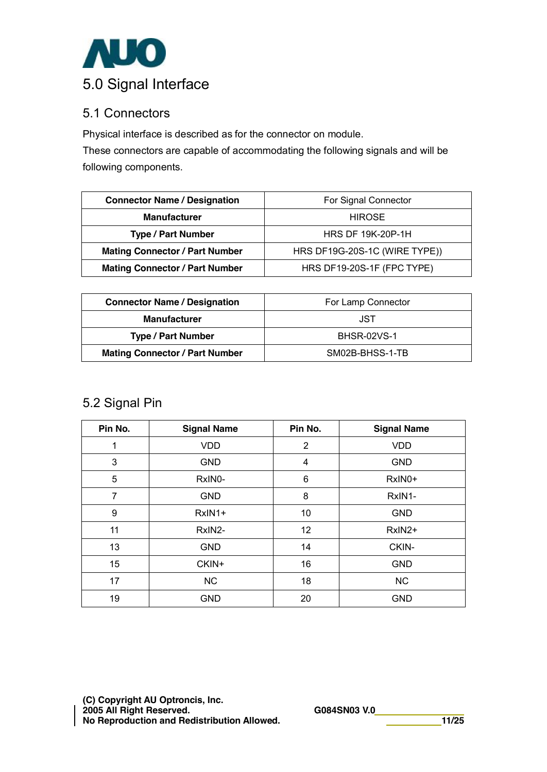

### 5.1 Connectors

Physical interface is described as for the connector on module.

These connectors are capable of accommodating the following signals and will be following components.

| <b>Connector Name / Designation</b>   | For Signal Connector          |
|---------------------------------------|-------------------------------|
| <b>Manufacturer</b>                   | <b>HIROSE</b>                 |
| <b>Type / Part Number</b>             | <b>HRS DF 19K-20P-1H</b>      |
| <b>Mating Connector / Part Number</b> | HRS DF19G-20S-1C (WIRE TYPE)) |
| <b>Mating Connector / Part Number</b> | HRS DF19-20S-1F (FPC TYPE)    |

| <b>Connector Name / Designation</b>   | For Lamp Connector |
|---------------------------------------|--------------------|
| <b>Manufacturer</b>                   | JST                |
| <b>Type / Part Number</b>             | <b>BHSR-02VS-1</b> |
| <b>Mating Connector / Part Number</b> | SM02B-BHSS-1-TB    |

### 5.2 Signal Pin

| Pin No.        | <b>Signal Name</b> | Pin No. | <b>Signal Name</b> |
|----------------|--------------------|---------|--------------------|
| 1              | <b>VDD</b>         | 2       | <b>VDD</b>         |
| 3              | <b>GND</b>         | 4       | <b>GND</b>         |
| 5              | RxIN0-             | 6       | RxIN0+             |
| $\overline{7}$ | <b>GND</b>         | 8       | RxIN1-             |
| 9              | RxIN1+             | 10      | <b>GND</b>         |
| 11             | RxIN2-             | 12      | RxIN2+             |
| 13             | <b>GND</b>         | 14      | CKIN-              |
| 15             | CKIN+              | 16      | <b>GND</b>         |
| 17             | <b>NC</b>          | 18      | NC                 |
| 19             | <b>GND</b>         | 20      | <b>GND</b>         |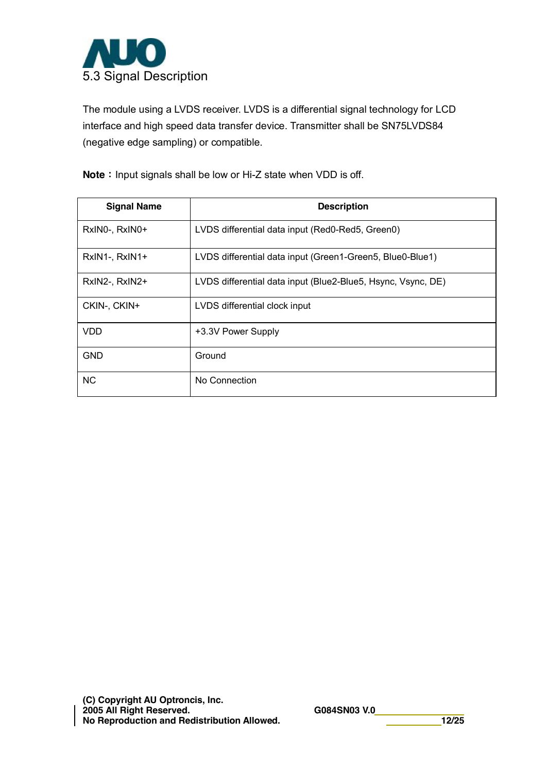

The module using a LVDS receiver. LVDS is a differential signal technology for LCD interface and high speed data transfer device. Transmitter shall be SN75LVDS84 (negative edge sampling) or compatible.

**Note**: Input signals shall be low or Hi-Z state when VDD is off.

| <b>Signal Name</b> | <b>Description</b>                                           |
|--------------------|--------------------------------------------------------------|
| RxINO-, RxINO+     | LVDS differential data input (Red0-Red5, Green0)             |
| RxIN1-, RxIN1+     | LVDS differential data input (Green1-Green5, Blue0-Blue1)    |
| RxIN2-, RxIN2+     | LVDS differential data input (Blue2-Blue5, Hsync, Vsync, DE) |
| CKIN-, CKIN+       | LVDS differential clock input                                |
| <b>VDD</b>         | +3.3V Power Supply                                           |
| <b>GND</b>         | Ground                                                       |
| <b>NC</b>          | No Connection                                                |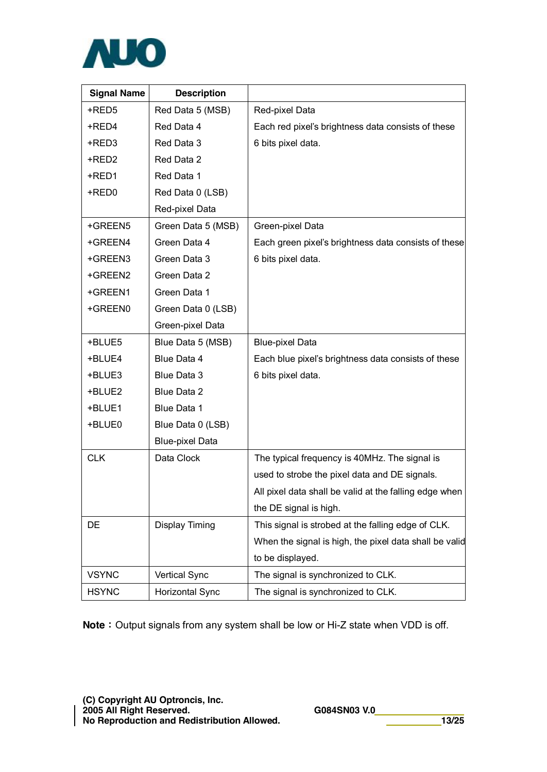

| <b>Signal Name</b> | <b>Description</b>     |                                                        |
|--------------------|------------------------|--------------------------------------------------------|
| +RED5              | Red Data 5 (MSB)       | Red-pixel Data                                         |
| +RED4              | Red Data 4             | Each red pixel's brightness data consists of these     |
| +RED3              | Red Data 3             | 6 bits pixel data.                                     |
| +RED2              | Red Data 2             |                                                        |
| +RED1              | Red Data 1             |                                                        |
| +RED0              | Red Data 0 (LSB)       |                                                        |
|                    | Red-pixel Data         |                                                        |
| +GREEN5            | Green Data 5 (MSB)     | Green-pixel Data                                       |
| +GREEN4            | Green Data 4           | Each green pixel's brightness data consists of these   |
| +GREEN3            | Green Data 3           | 6 bits pixel data.                                     |
| +GREEN2            | Green Data 2           |                                                        |
| +GREEN1            | Green Data 1           |                                                        |
| +GREEN0            | Green Data 0 (LSB)     |                                                        |
|                    | Green-pixel Data       |                                                        |
| +BLUE5             | Blue Data 5 (MSB)      | <b>Blue-pixel Data</b>                                 |
| +BLUE4             | Blue Data 4            | Each blue pixel's brightness data consists of these    |
| +BLUE3             | Blue Data 3            | 6 bits pixel data.                                     |
| +BLUE2             | Blue Data 2            |                                                        |
| +BLUE1             | Blue Data 1            |                                                        |
| +BLUE0             | Blue Data 0 (LSB)      |                                                        |
|                    | <b>Blue-pixel Data</b> |                                                        |
| <b>CLK</b>         | Data Clock             | The typical frequency is 40MHz. The signal is          |
|                    |                        | used to strobe the pixel data and DE signals.          |
|                    |                        | All pixel data shall be valid at the falling edge when |
|                    |                        | the DE signal is high.                                 |
| DE                 | <b>Display Timing</b>  | This signal is strobed at the falling edge of CLK.     |
|                    |                        | When the signal is high, the pixel data shall be valid |
|                    |                        | to be displayed.                                       |
| <b>VSYNC</b>       | <b>Vertical Sync</b>   | The signal is synchronized to CLK.                     |
| <b>HSYNC</b>       | Horizontal Sync        | The signal is synchronized to CLK.                     |

**Note**: Output signals from any system shall be low or Hi-Z state when VDD is off.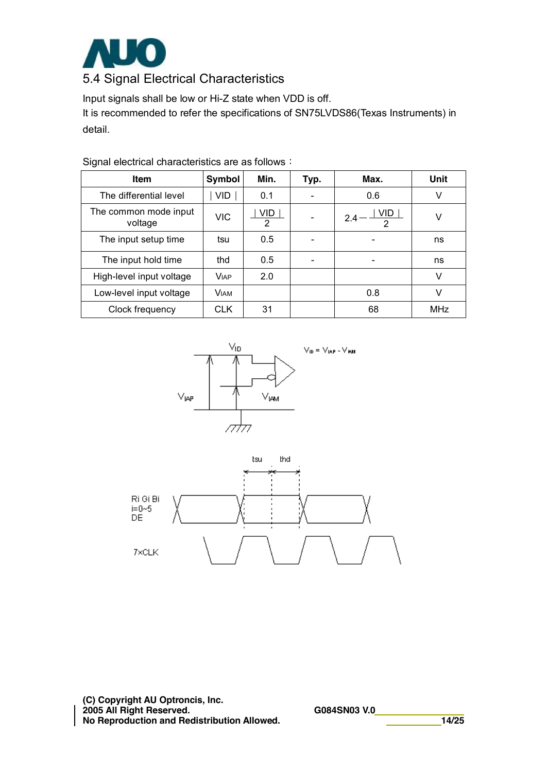

Input signals shall be low or Hi-Z state when VDD is off.

It is recommended to refer the specifications of SN75LVDS86(Texas Instruments) in detail.

| <b>Item</b>                      | Symbol      | Min.                         | Typ. | Max.                        | Unit       |
|----------------------------------|-------------|------------------------------|------|-----------------------------|------------|
| The differential level           | VID         | 0.1                          |      | 0.6                         | V          |
| The common mode input<br>voltage | <b>VIC</b>  | <b>VID</b><br>$\overline{2}$ |      | VID.<br>24<br>$\mathcal{D}$ | V          |
| The input setup time             | tsu         | 0.5                          |      |                             | ns         |
| The input hold time              | thd         | 0.5                          |      |                             | ns         |
| High-level input voltage         | <b>VIAP</b> | 2.0                          |      |                             | V          |
| Low-level input voltage          | <b>VIAM</b> |                              |      | 0.8                         | v          |
| Clock frequency                  | <b>CLK</b>  | 31                           |      | 68                          | <b>MHz</b> |

Signal electrical characteristics are as follows:



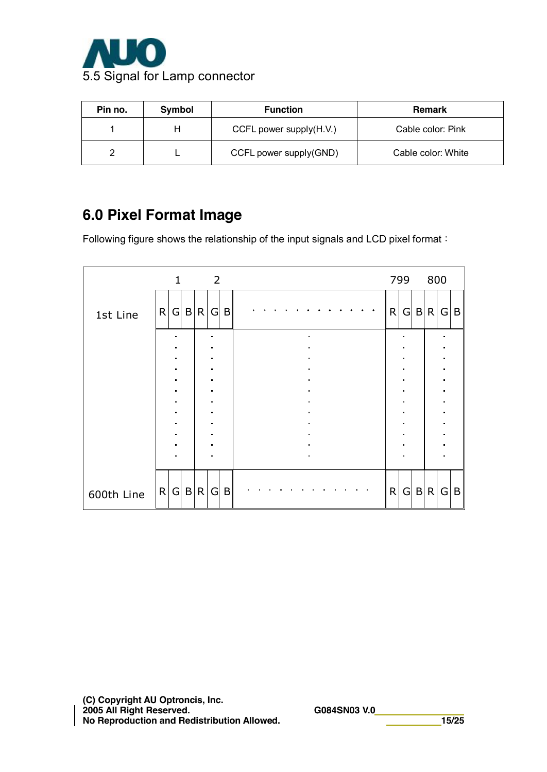

| Pin no. | Symbol | <b>Function</b>         | <b>Remark</b>      |
|---------|--------|-------------------------|--------------------|
|         |        | CCFL power supply(H.V.) | Cable color: Pink  |
|         |        | CCFL power supply(GND)  | Cable color: White |

## **6.0 Pixel Format Image**

Following figure shows the relationship of the input signals and LCD pixel format:

|            |              | $\mathbf{1}$    |       | $\overline{\phantom{0}}$ |   |  |  |  |  |  |  |   | 799            | 800   |   |              |
|------------|--------------|-----------------|-------|--------------------------|---|--|--|--|--|--|--|---|----------------|-------|---|--------------|
| 1st Line   | R            |                 | G B R | G                        | B |  |  |  |  |  |  | R |                | G B R | G | B            |
|            |              | n               |       |                          |   |  |  |  |  |  |  |   |                |       |   |              |
|            |              |                 |       |                          |   |  |  |  |  |  |  |   |                |       |   |              |
|            |              | $\blacksquare$  |       |                          |   |  |  |  |  |  |  |   |                |       |   |              |
|            |              | $\blacksquare$  |       | $\blacksquare$           |   |  |  |  |  |  |  |   | $\blacksquare$ |       |   |              |
|            |              |                 |       |                          |   |  |  |  |  |  |  |   |                |       |   |              |
|            |              | $\blacksquare$  |       |                          |   |  |  |  |  |  |  |   |                |       |   |              |
|            |              |                 |       |                          |   |  |  |  |  |  |  |   |                |       |   |              |
|            |              | $\blacksquare$  |       |                          |   |  |  |  |  |  |  |   |                |       |   |              |
|            |              |                 |       |                          |   |  |  |  |  |  |  |   |                |       |   |              |
|            |              |                 |       |                          |   |  |  |  |  |  |  |   |                |       |   |              |
|            |              |                 |       |                          |   |  |  |  |  |  |  |   |                |       |   |              |
|            |              |                 |       |                          |   |  |  |  |  |  |  |   |                |       |   |              |
| 600th Line | $\mathsf{R}$ | $\vert G \vert$ | B R   | G                        | B |  |  |  |  |  |  | R | G              | B R   | G | $\mathsf{B}$ |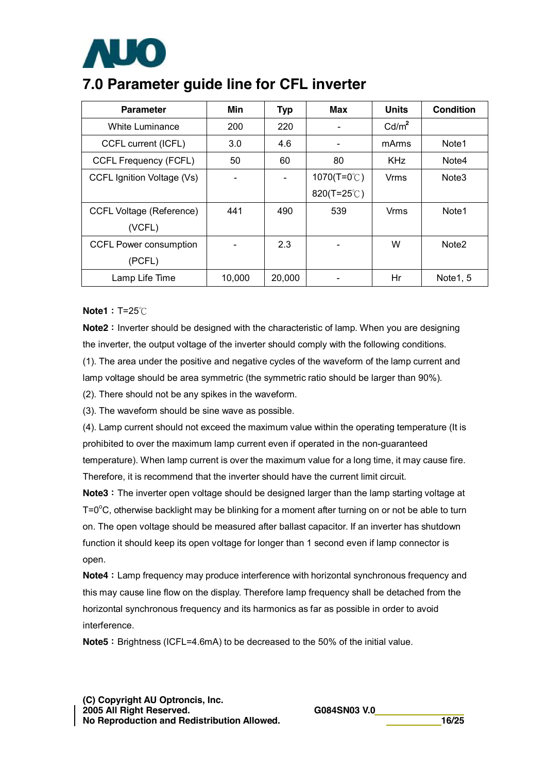

## **7.0 Parameter guide line for CFL inverter**

| <b>Parameter</b>                | Min    | <b>Typ</b> | Max                    | <b>Units</b>      | Condition             |
|---------------------------------|--------|------------|------------------------|-------------------|-----------------------|
| White Luminance                 | 200    | 220        |                        | Cd/m <sup>2</sup> |                       |
| CCFL current (ICFL)             | 3.0    | 4.6        |                        | mArms             | Note1                 |
| <b>CCFL Frequency (FCFL)</b>    | 50     | 60         | 80                     | <b>KHz</b>        | Note4                 |
| CCFL Ignition Voltage (Vs)      |        |            | 1070(T=0 $^{\circ}$ C) | Vrms              | Note <sub>3</sub>     |
|                                 |        |            | 820(T=25 $°C$ )        |                   |                       |
| <b>CCFL Voltage (Reference)</b> | 441    | 490        | 539                    | Vrms              | Note1                 |
| (VCFL)                          |        |            |                        |                   |                       |
| <b>CCFL Power consumption</b>   |        | 2.3        |                        | W                 | Note <sub>2</sub>     |
| (PCFL)                          |        |            |                        |                   |                       |
| Lamp Life Time                  | 10,000 | 20,000     |                        | Hr                | Note <sub>1</sub> , 5 |

#### **Note1**: T=25℃

**Note2**: Inverter should be designed with the characteristic of lamp. When you are designing the inverter, the output voltage of the inverter should comply with the following conditions.

(1). The area under the positive and negative cycles of the waveform of the lamp current and lamp voltage should be area symmetric (the symmetric ratio should be larger than 90%).

(2). There should not be any spikes in the waveform.

(3). The waveform should be sine wave as possible.

(4). Lamp current should not exceed the maximum value within the operating temperature (It is prohibited to over the maximum lamp current even if operated in the non-guaranteed temperature). When lamp current is over the maximum value for a long time, it may cause fire. Therefore, it is recommend that the inverter should have the current limit circuit.

**Note3**: The inverter open voltage should be designed larger than the lamp starting voltage at T=0 $\rm{^o}C$ , otherwise backlight may be blinking for a moment after turning on or not be able to turn on. The open voltage should be measured after ballast capacitor. If an inverter has shutdown function it should keep its open voltage for longer than 1 second even if lamp connector is open.

**Note4**: Lamp frequency may produce interference with horizontal synchronous frequency and this may cause line flow on the display. Therefore lamp frequency shall be detached from the horizontal synchronous frequency and its harmonics as far as possible in order to avoid interference.

**Note5**: Brightness (ICFL=4.6mA) to be decreased to the 50% of the initial value.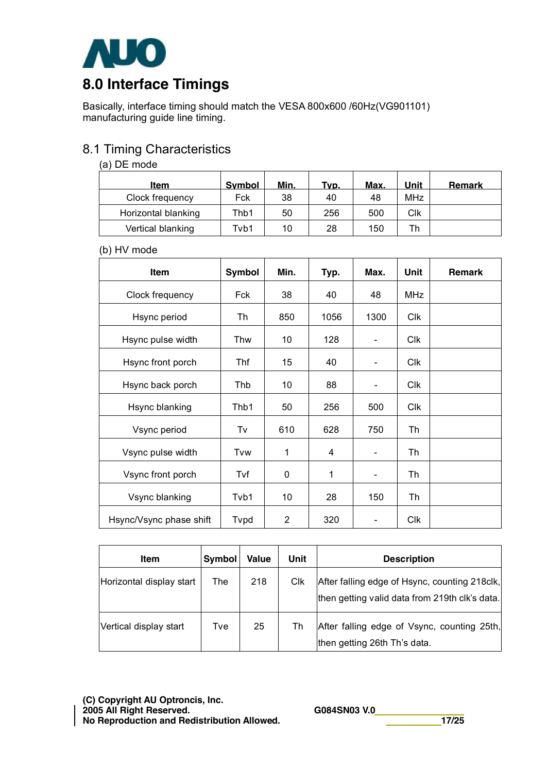

# **8.0 Interface Timings**

Basically, interface timing should match the VESA 800x600 /60Hz(VG901101) manufacturing guide line timing.

## 8.1 Timing Characteristics

#### (a) DE mode

| Item                | <b>Symbol</b> | Min. | Typ. | Max. | Unit       | <b>Remark</b> |
|---------------------|---------------|------|------|------|------------|---------------|
| Clock frequency     | Fck           | 38   | 40   | 48   | <b>MHz</b> |               |
| Horizontal blanking | Thb1          | 50   | 256  | 500  | Clk        |               |
| Vertical blanking   | Tvb1          | 10   | 28   | 150  | Tr         |               |

#### (b) HV mode

| <b>Item</b>             | Symbol | Min.         | Typ. | Max.          | <b>Unit</b> | Remark |
|-------------------------|--------|--------------|------|---------------|-------------|--------|
| Clock frequency         | Fck    | 38           | 40   | 48            | <b>MHz</b>  |        |
| Hsync period            | Th     | 850          | 1056 | 1300          | <b>Clk</b>  |        |
| Hsync pulse width       | Thw    | 10           | 128  |               | Clk         |        |
| Hsync front porch       | Thf    | 15           | 40   |               | Clk         |        |
| Hsync back porch        | Thb    | 10           | 88   | ۰             | <b>Clk</b>  |        |
| Hsync blanking          | Thb1   | 50           | 256  | 500           | <b>Clk</b>  |        |
| Vsync period            | Tv     | 610          | 628  | 750           | Th          |        |
| Vsync pulse width       | Tvw    | 1            | 4    |               | Th          |        |
| Vsync front porch       | Tvf    | $\mathbf{0}$ | 1    | $\frac{1}{2}$ | Th          |        |
| Vsync blanking          | Tvb1   | 10           | 28   | 150           | Th          |        |
| Hsync/Vsync phase shift | Tvpd   | 2            | 320  |               | <b>Clk</b>  |        |

| <b>Item</b>              | <b>Symbol</b> | <b>Value</b> | Unit | <b>Description</b>                                                                              |
|--------------------------|---------------|--------------|------|-------------------------------------------------------------------------------------------------|
| Horizontal display start | The           | 218          | Clk  | After falling edge of Hsync, counting 218clk,<br>then getting valid data from 219th clk's data. |
| Vertical display start   | Tve           | 25           | Th   | After falling edge of Vsync, counting 25th,<br>then getting 26th Th's data.                     |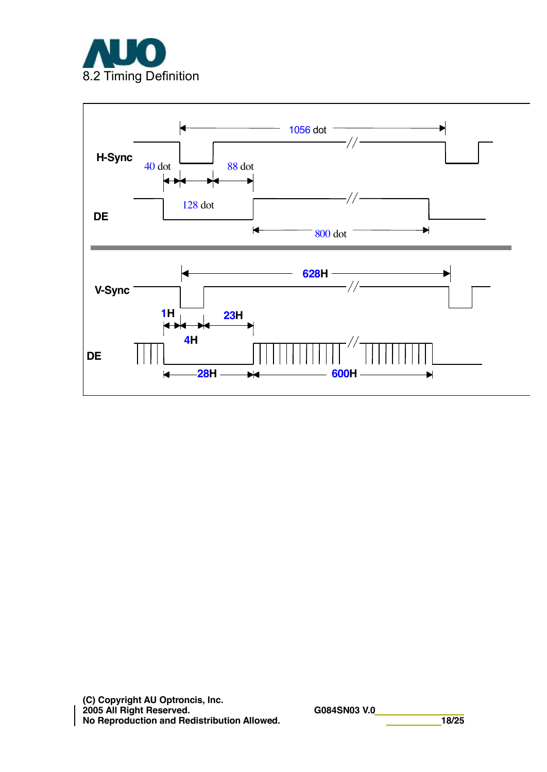

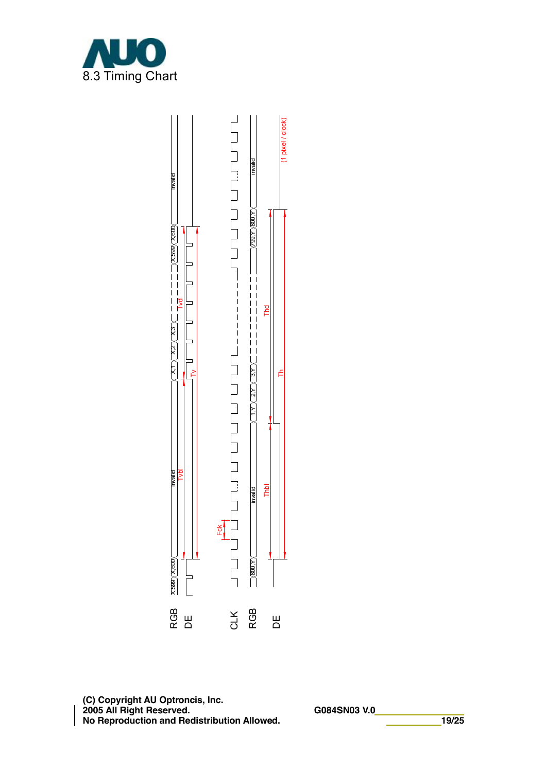

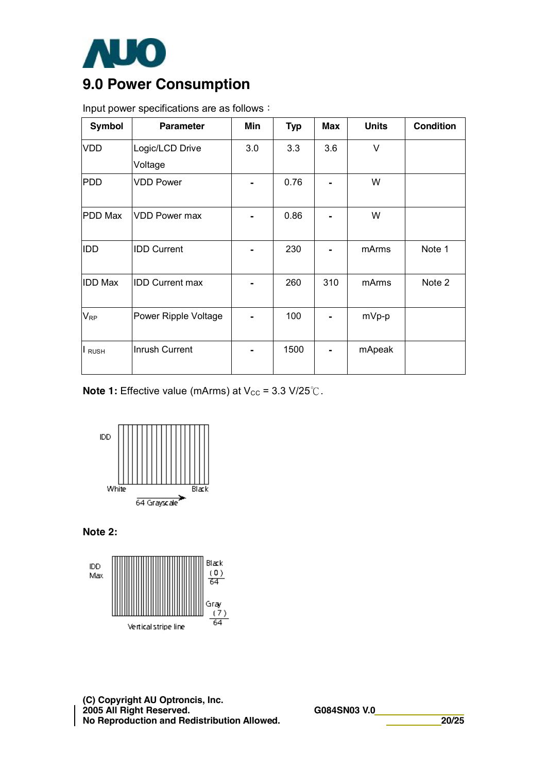

## **9.0 Power Consumption**

Input power specifications are as follows:

| <b>Symbol</b>  | <b>Parameter</b>       | Min | <b>Typ</b> | <b>Max</b> | <b>Units</b> | <b>Condition</b> |
|----------------|------------------------|-----|------------|------------|--------------|------------------|
| <b>VDD</b>     | Logic/LCD Drive        | 3.0 | 3.3        | 3.6        | V            |                  |
|                | Voltage                |     |            |            |              |                  |
| <b>PDD</b>     | <b>VDD Power</b>       |     | 0.76       |            | W            |                  |
| PDD Max        | <b>VDD Power max</b>   |     | 0.86       |            | W            |                  |
| <b>IDD</b>     | <b>IDD Current</b>     |     | 230        |            | mArms        | Note 1           |
| <b>IDD Max</b> | <b>IDD Current max</b> |     | 260        | 310        | mArms        | Note 2           |
| $V_{RP}$       | Power Ripple Voltage   |     | 100        |            | mVp-p        |                  |
| I RUSH         | Inrush Current         |     | 1500       |            | mApeak       |                  |

**Note 1:** Effective value (mArms) at  $V_{CC}$  = 3.3 V/25 °C.



**Note 2:** 



**(C) Copyright AU Optroncis, Inc. 2005 All Right Reserved. G084SN03 V.0 No Reproduction and Redistribution Allowed. 20/25**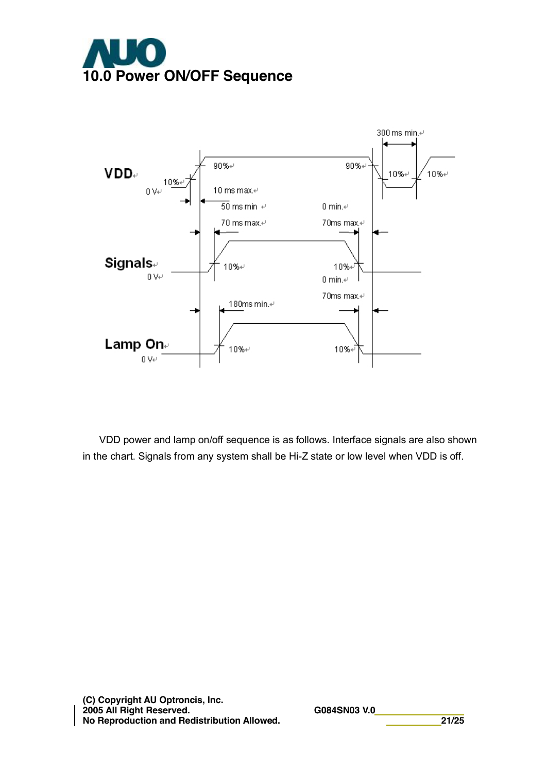



VDD power and lamp on/off sequence is as follows. Interface signals are also shown in the chart. Signals from any system shall be Hi-Z state or low level when VDD is off.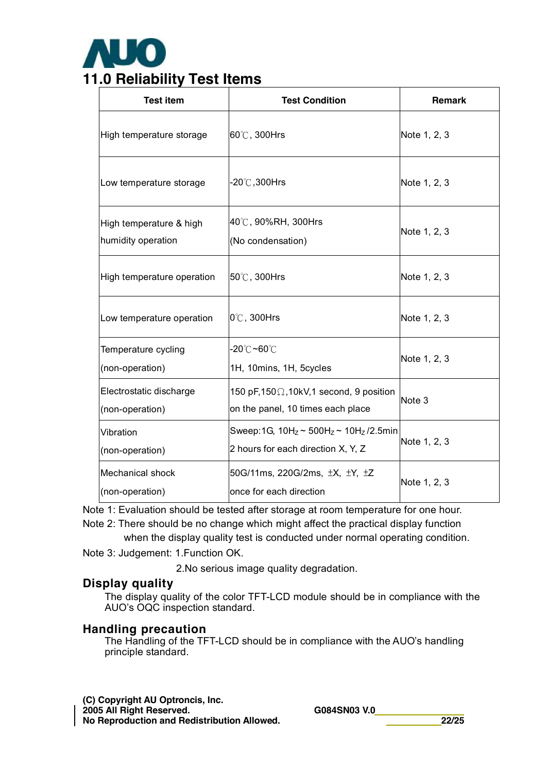

| <b>Test item</b>                              | <b>Test Condition</b>                                                                     | <b>Remark</b> |
|-----------------------------------------------|-------------------------------------------------------------------------------------------|---------------|
| High temperature storage                      | 60°C, 300Hrs                                                                              | Note 1, 2, 3  |
| Low temperature storage                       | -20℃,300Hrs                                                                               | Note 1, 2, 3  |
| High temperature & high<br>humidity operation | 40℃, 90%RH, 300Hrs<br>(No condensation)                                                   | Note 1, 2, 3  |
| High temperature operation                    | 50°C, 300Hrs                                                                              | Note 1, 2, 3  |
| Low temperature operation                     | $0^\circ\text{C}$ , 300Hrs                                                                | Note 1, 2, 3  |
| Temperature cycling<br>(non-operation)        | -20℃ <b>~60</b> ℃<br>1H, 10mins, 1H, 5cycles                                              | Note 1, 2, 3  |
| Electrostatic discharge<br>(non-operation)    | 150 pF, $150 \Omega$ , $10kV$ , 1 second, 9 position<br>on the panel, 10 times each place | Note 3        |
| Vibration<br>(non-operation)                  | Sweep: 1G, $10H_z \sim 500H_z \sim 10H_z/2.5$ min<br>2 hours for each direction X, Y, Z   | Note 1, 2, 3  |
| <b>Mechanical shock</b><br>(non-operation)    | 50G/11ms, 220G/2ms, $\pm X$ , $\pm Y$ , $\pm Z$<br>once for each direction                | Note 1, 2, 3  |

Note 1: Evaluation should be tested after storage at room temperature for one hour. Note 2: There should be no change which might affect the practical display function

when the display quality test is conducted under normal operating condition.

Note 3: Judgement: 1.Function OK.

2.No serious image quality degradation.

### **Display quality**

The display quality of the color TFT-LCD module should be in compliance with the AUO's OQC inspection standard.

#### **Handling precaution**

The Handling of the TFT-LCD should be in compliance with the AUO's handling principle standard.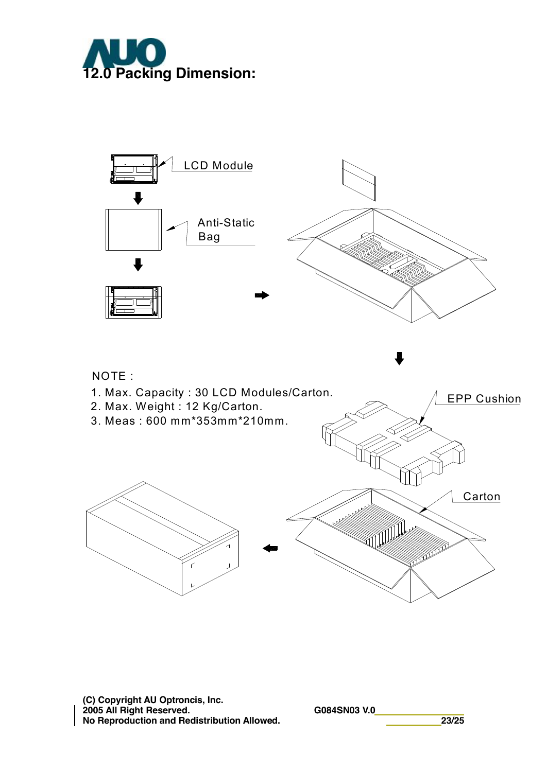



**(C) Copyright AU Optroncis, Inc. 2005 All Right Reserved. G084SN03 V.0 No Reproduction and Redistribution Allowed. 23/25**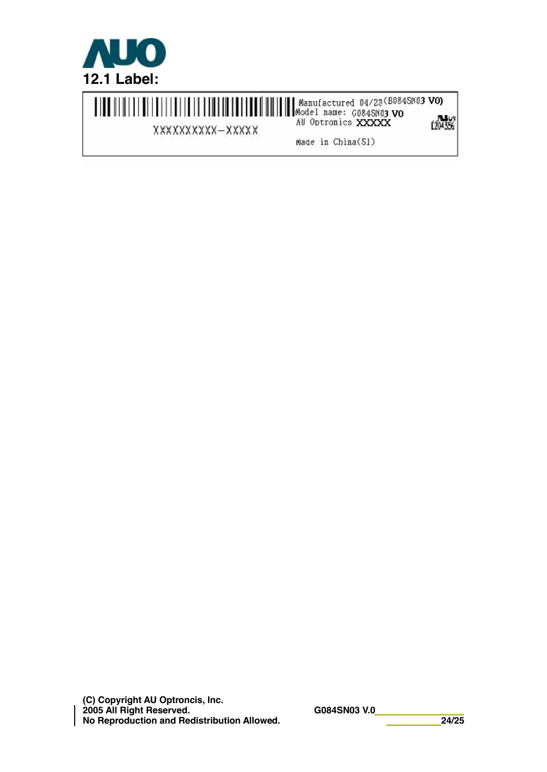

XXXXXXXXX-XXXXX

**C204356** 

Made in China(S1)

**(C) Copyright AU Optroncis, Inc. 2005 All Right Reserved. G084SN03 V.0 No Reproduction and Redistribution Allowed. 24/25**